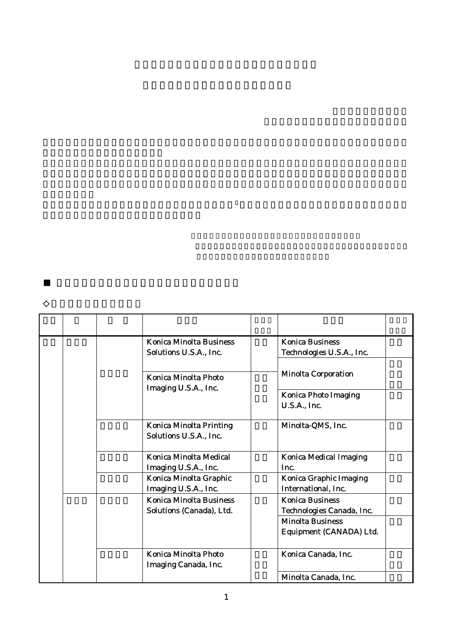|  |  | <b>Konica Minolta Business</b><br>Solutions U.S.A., Inc.   | <b>Konica Business</b><br>Technologies U.S.A., Inc.  |
|--|--|------------------------------------------------------------|------------------------------------------------------|
|  |  |                                                            | <b>Minolta Corporation</b>                           |
|  |  | Konica Minolta Photo<br>Imaging U.S.A., Inc.               |                                                      |
|  |  |                                                            | <b>Konica Photo Imaging</b><br><b>U.S.A., Inc.</b>   |
|  |  | <b>Konica Minolta Printing</b><br>Solutions U.S.A., Inc.   | Minolta-QMS, Inc.                                    |
|  |  | Konica Minolta Medical<br>Imaging U.S.A., Inc.             | <b>Konica Medical Imaging</b><br>Inc.                |
|  |  | Konica Minolta Graphic<br>Imaging U.S.A., Inc.             | <b>Konica Graphic Imaging</b><br>International, Inc. |
|  |  | <b>Konica Minolta Business</b><br>Solutions (Canada), Ltd. | <b>Konica Business</b><br>Technologies Canada, Inc.  |
|  |  |                                                            | <b>Minolta Business</b><br>Equipment (CANADA) Ltd.   |
|  |  | Konica Minolta Photo<br>Imaging Canada, Inc.               | Konica Canada, Inc.                                  |
|  |  |                                                            | Minolta Canada, Inc.                                 |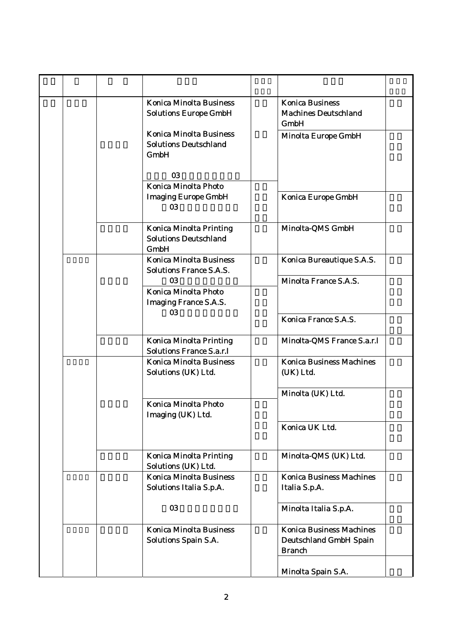| <b>Konica Minolta Business</b><br><b>Solutions Europe GmbH</b>                | <b>Konica Business</b><br><b>Machines Deutschland</b><br><b>GmbH</b>       |
|-------------------------------------------------------------------------------|----------------------------------------------------------------------------|
| <b>Konica Minolta Business</b><br><b>Solutions Deutschland</b><br><b>GmbH</b> | Minolta Europe GmbH                                                        |
| 03<br>Konica Minolta Photo                                                    |                                                                            |
| <b>Imaging Europe GmbH</b><br>03                                              | Konica Europe GmbH                                                         |
| <b>Konica Minolta Printing</b><br><b>Solutions Deutschland</b><br><b>GmbH</b> | Minolta-QMS GmbH                                                           |
| <b>Konica Minolta Business</b><br><b>Solutions France S.A.S.</b>              | Konica Bureautique S.A.S.                                                  |
| 03<br>Konica Minolta Photo<br><b>Imaging France S.A.S.</b><br>03              | Minolta France S.A.S.                                                      |
|                                                                               | Konica France S.A.S.                                                       |
| <b>Konica Minolta Printing</b><br><b>Solutions France S.a.r.l</b>             | Minolta-QMS France S.a.r.l                                                 |
| <b>Konica Minolta Business</b><br>Solutions (UK) Ltd.                         | <b>Konica Business Machines</b><br>(UK) Ltd.                               |
| Konica Minolta Photo<br>Imaging (UK) Ltd.                                     | Minolta (UK) Ltd.                                                          |
|                                                                               | Konica UK Ltd.                                                             |
| <b>Konica Minolta Printing</b><br>Solutions (UK) Ltd.                         | Minolta-QMS (UK) Ltd.                                                      |
| <b>Konica Minolta Business</b><br>Solutions Italia S.p.A.                     | <b>Konica Business Machines</b><br>Italia S.p.A.                           |
| 03                                                                            | Minolta Italia S.p.A.                                                      |
| <b>Konica Minolta Business</b><br><b>Solutions Spain S.A.</b>                 | <b>Konica Business Machines</b><br>Deutschland GmbH Spain<br><b>Branch</b> |
|                                                                               | Minolta Spain S.A.                                                         |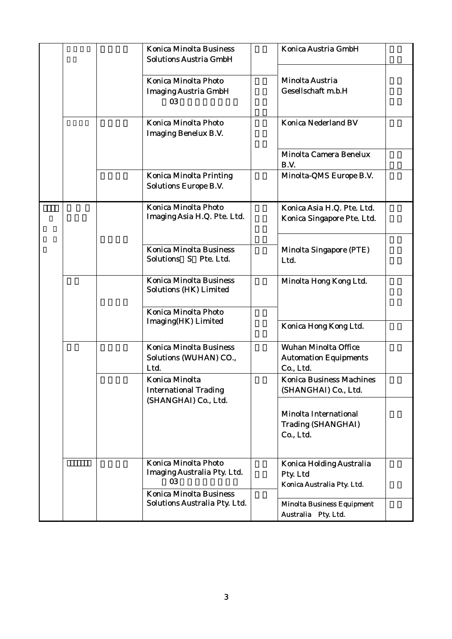| <b>Konica Minolta Business</b><br><b>Solutions Austria GmbH</b>  | Konica Austria GmbH                                                      |
|------------------------------------------------------------------|--------------------------------------------------------------------------|
| Konica Minolta Photo<br><b>Imaging Austria GmbH</b><br>03        | Minolta Austria<br>Gesellschaft m.b.H                                    |
| Konica Minolta Photo<br><b>Imaging Benelux B.V.</b>              | <b>Konica Nederland BV</b>                                               |
|                                                                  | Minolta Camera Benelux<br>B.V.                                           |
| <b>Konica Minolta Printing</b><br><b>Solutions Europe B.V.</b>   | Minolta-QMS Europe B.V.                                                  |
| <b>Konica Minolta Photo</b><br>Imaging Asia H.Q. Pte. Ltd.       | Konica Asia H.Q. Pte. Ltd.<br>Konica Singapore Pte. Ltd.                 |
| Konica Minolta Business<br>Solutions S Pte. Ltd.                 | Minolta Singapore (PTE)<br>Ltd.                                          |
| <b>Konica Minolta Business</b><br><b>Solutions (HK) Limited</b>  | Minolta Hong Kong Ltd.                                                   |
| Konica Minolta Photo<br>Imaging(HK) Limited                      | Konica Hong Kong Ltd.                                                    |
| <b>Konica Minolta Business</b><br>Solutions (WUHAN) CO.,<br>Ltd. | <b>Wuhan Minolta Office</b><br><b>Automation Equipments</b><br>Co., Ltd. |
| Konica Minolta<br><b>International Trading</b>                   | <b>Konica Business Machines</b><br>(SHANGHAI) Co., Ltd.                  |
| (SHANGHAI) Co., Ltd.                                             | Minolta International<br><b>Trading (SHANGHAI)</b><br>Co., Ltd.          |
| Konica Minolta Photo<br>Imaging Australia Pty. Ltd.<br>03        | Konica Holding Australia<br>Pty. Ltd<br>Konica Australia Pty. Ltd.       |
| <b>Konica Minolta Business</b><br>Solutions Australia Pty. Ltd.  | <b>Minolta Business Equipment</b><br>Australia Pty. Ltd.                 |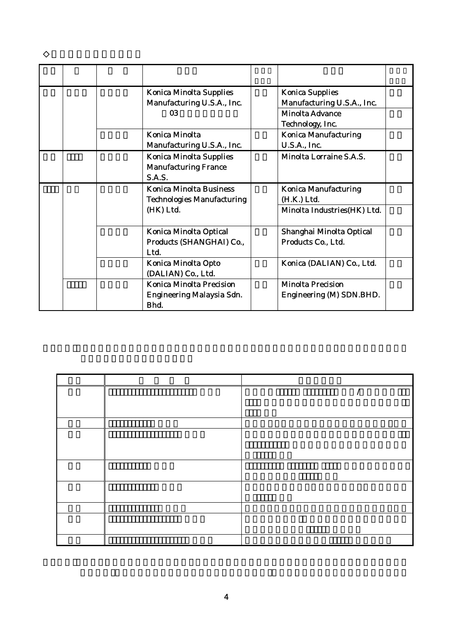| <b>Konica Minolta Supplies</b><br>Manufacturing U.S.A., Inc.            | <b>Konica Supplies</b><br>Manufacturing U.S.A., Inc. |
|-------------------------------------------------------------------------|------------------------------------------------------|
| 03                                                                      | Minolta Advance<br>Technology, Inc.                  |
| Konica Minolta<br>Manufacturing U.S.A., Inc.                            | <b>Konica Manufacturing</b><br>U.S.A., Inc.          |
| <b>Konica Minolta Supplies</b><br><b>Manufacturing France</b><br>S.A.S. | Minolta Lorraine S.A.S.                              |
| <b>Konica Minolta Business</b><br><b>Technologies Manufacturing</b>     | <b>Konica Manufacturing</b><br>(H.K.) Ltd.           |
| (HK) Ltd.                                                               | Minolta Industries(HK) Ltd.                          |
| Konica Minolta Optical<br>Products (SHANGHAI) Co.,<br>Ltd.              | Shanghai Minolta Optical<br>Products Co., Ltd.       |
| Konica Minolta Opto<br>(DALIAN) Co., Ltd.                               | Konica (DALIAN) Co., Ltd.                            |
| <b>Konica Minolta Precision</b><br>Engineering Malaysia Sdn.<br>Bhd.    | Minolta Precision<br>Engineering (M) SDN.BHD.        |